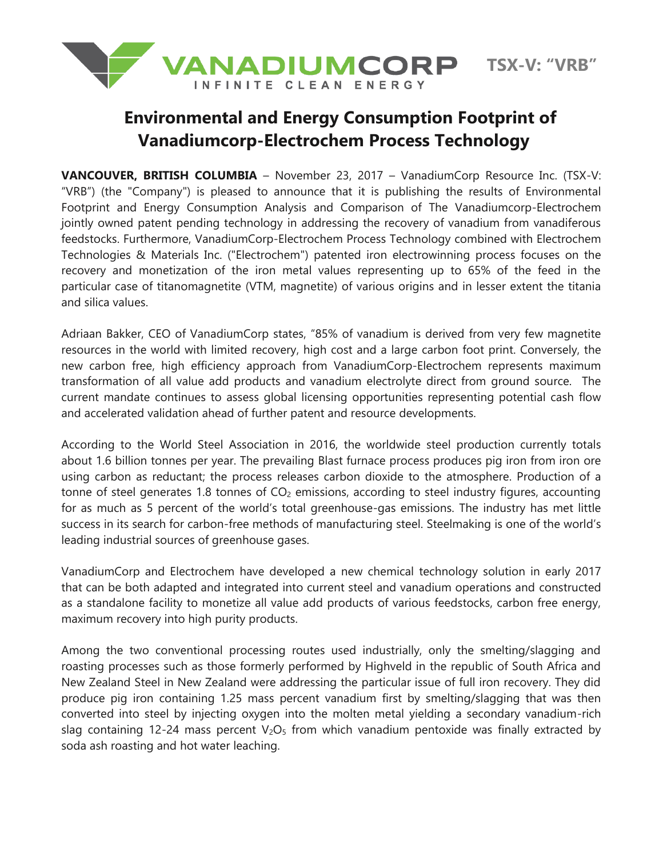

## **Environmental and Energy Consumption Footprint of Vanadiumcorp-Electrochem Process Technology**

**VANCOUVER, BRITISH COLUMBIA** – November 23, 2017 – VanadiumCorp Resource Inc. (TSX-V: "VRB") (the "Company") is pleased to announce that it is publishing the results of Environmental Footprint and Energy Consumption Analysis and Comparison of The Vanadiumcorp-Electrochem jointly owned patent pending technology in addressing the recovery of vanadium from vanadiferous feedstocks. Furthermore, VanadiumCorp-Electrochem Process Technology combined with Electrochem Technologies & Materials Inc. ("Electrochem") patented iron electrowinning process focuses on the recovery and monetization of the iron metal values representing up to 65% of the feed in the particular case of titanomagnetite (VTM, magnetite) of various origins and in lesser extent the titania and silica values.

Adriaan Bakker, CEO of VanadiumCorp states, "85% of vanadium is derived from very few magnetite resources in the world with limited recovery, high cost and a large carbon foot print. Conversely, the new carbon free, high efficiency approach from VanadiumCorp-Electrochem represents maximum transformation of all value add products and vanadium electrolyte direct from ground source. The current mandate continues to assess global licensing opportunities representing potential cash flow and accelerated validation ahead of further patent and resource developments.

According to the World Steel Association in 2016, the worldwide steel production currently totals about 1.6 billion tonnes per year. The prevailing Blast furnace process produces pig iron from iron ore using carbon as reductant; the process releases carbon dioxide to the atmosphere. Production of a tonne of steel generates 1.8 tonnes of  $CO<sub>2</sub>$  emissions, according to steel industry figures, accounting for as much as 5 percent of the world's total greenhouse-gas emissions. The industry has met little success in its search for carbon-free methods of manufacturing steel. Steelmaking is one of the world's leading industrial sources of greenhouse gases.

VanadiumCorp and Electrochem have developed a new chemical technology solution in early 2017 that can be both adapted and integrated into current steel and vanadium operations and constructed as a standalone facility to monetize all value add products of various feedstocks, carbon free energy, maximum recovery into high purity products.

Among the two conventional processing routes used industrially, only the smelting/slagging and roasting processes such as those formerly performed by Highveld in the republic of South Africa and New Zealand Steel in New Zealand were addressing the particular issue of full iron recovery. They did produce pig iron containing 1.25 mass percent vanadium first by smelting/slagging that was then converted into steel by injecting oxygen into the molten metal yielding a secondary vanadium-rich slag containing 12-24 mass percent  $V_2O_5$  from which vanadium pentoxide was finally extracted by soda ash roasting and hot water leaching.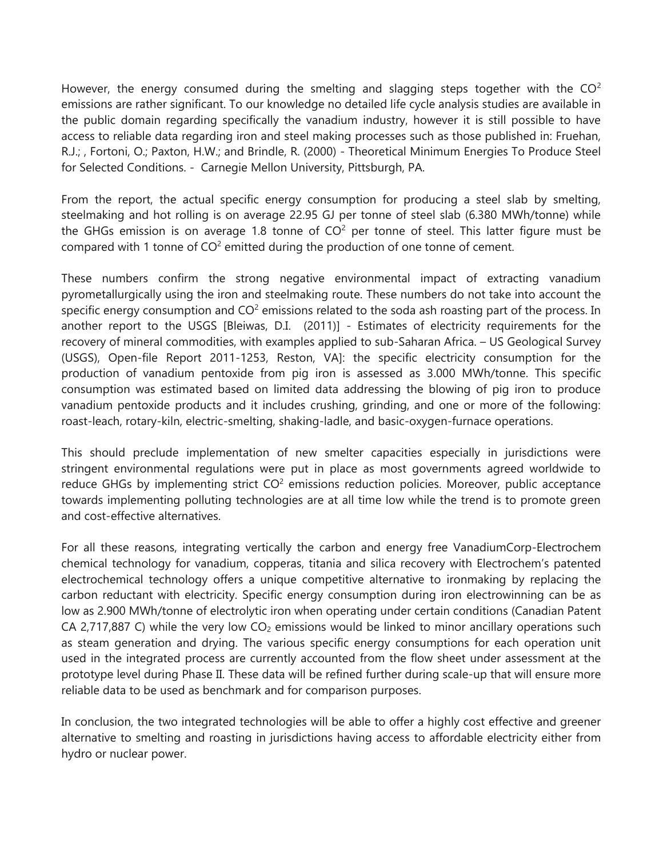However, the energy consumed during the smelting and slagging steps together with the  $CO<sup>2</sup>$ emissions are rather significant. To our knowledge no detailed life cycle analysis studies are available in the public domain regarding specifically the vanadium industry, however it is still possible to have access to reliable data regarding iron and steel making processes such as those published in: Fruehan, R.J.; , Fortoni, O.; Paxton, H.W.; and Brindle, R. (2000) - Theoretical Minimum Energies To Produce Steel for Selected Conditions. - Carnegie Mellon University, Pittsburgh, PA.

From the report, the actual specific energy consumption for producing a steel slab by smelting, steelmaking and hot rolling is on average 22.95 GJ per tonne of steel slab (6.380 MWh/tonne) while the GHGs emission is on average 1.8 tonne of  $CO<sup>2</sup>$  per tonne of steel. This latter figure must be compared with 1 tonne of  $CO<sup>2</sup>$  emitted during the production of one tonne of cement.

These numbers confirm the strong negative environmental impact of extracting vanadium pyrometallurgically using the iron and steelmaking route. These numbers do not take into account the specific energy consumption and  $CO<sup>2</sup>$  emissions related to the soda ash roasting part of the process. In another report to the USGS [Bleiwas, D.I. (2011)] - Estimates of electricity requirements for the recovery of mineral commodities, with examples applied to sub-Saharan Africa. – US Geological Survey (USGS), Open-file Report 2011-1253, Reston, VA]: the specific electricity consumption for the production of vanadium pentoxide from pig iron is assessed as 3.000 MWh/tonne. This specific consumption was estimated based on limited data addressing the blowing of pig iron to produce vanadium pentoxide products and it includes crushing, grinding, and one or more of the following: roast-leach, rotary-kiln, electric-smelting, shaking-ladle, and basic-oxygen-furnace operations.

This should preclude implementation of new smelter capacities especially in jurisdictions were stringent environmental regulations were put in place as most governments agreed worldwide to reduce GHGs by implementing strict  $CO<sup>2</sup>$  emissions reduction policies. Moreover, public acceptance towards implementing polluting technologies are at all time low while the trend is to promote green and cost-effective alternatives.

For all these reasons, integrating vertically the carbon and energy free VanadiumCorp-Electrochem chemical technology for vanadium, copperas, titania and silica recovery with Electrochem's patented electrochemical technology offers a unique competitive alternative to ironmaking by replacing the carbon reductant with electricity. Specific energy consumption during iron electrowinning can be as low as 2.900 MWh/tonne of electrolytic iron when operating under certain conditions (Canadian Patent CA 2,717,887 C) while the very low  $CO<sub>2</sub>$  emissions would be linked to minor ancillary operations such as steam generation and drying. The various specific energy consumptions for each operation unit used in the integrated process are currently accounted from the flow sheet under assessment at the prototype level during Phase II. These data will be refined further during scale-up that will ensure more reliable data to be used as benchmark and for comparison purposes.

In conclusion, the two integrated technologies will be able to offer a highly cost effective and greener alternative to smelting and roasting in jurisdictions having access to affordable electricity either from hydro or nuclear power.